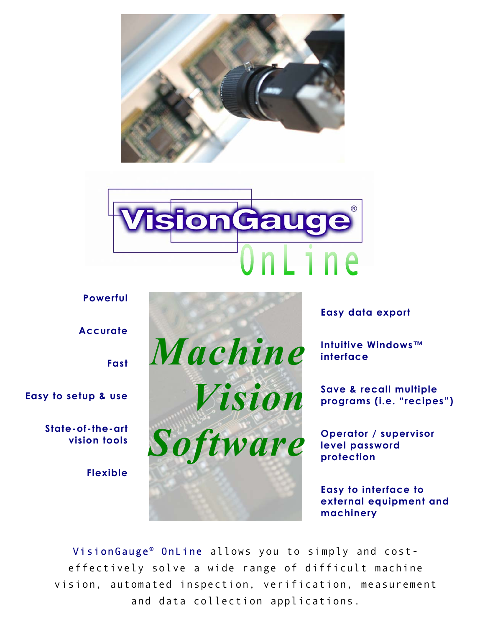





VisionGauge® OnLine allows you to simply and costeffectively solve a wide range of difficult machine vision, automated inspection, verification, measurement and data collection applications.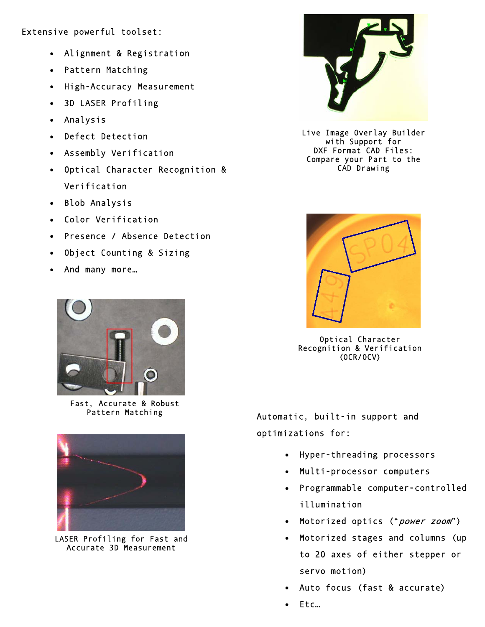Extensive powerful toolset:

- Alignment & Registration
- Pattern Matching
- High-Accuracy Measurement
- 3D LASER Profiling
- Analysis
- Defect Detection
- Assembly Verification
- Optical Character Recognition & Verification
- Blob Analysis
- Color Verification
- Presence / Absence Detection
- Object Counting & Sizing
- And many more…



Fast, Accurate & Robust



LASER Profiling for Fast and Accurate 3D Measurement



Live Image Overlay Builder with Support for DXF Format CAD Files: Compare your Part to the CAD Drawing



Optical Character Recognition & Verification (OCR/OCV)

Pattern Matching The Controller Automatic, built-in support and optimizations for:

- Hyper-threading processors
- Multi-processor computers
- Programmable computer-controlled illumination
- Motorized optics ("power zoom")
- Motorized stages and columns (up to 20 axes of either stepper or servo motion)
- Auto focus (fast & accurate)
- Etc…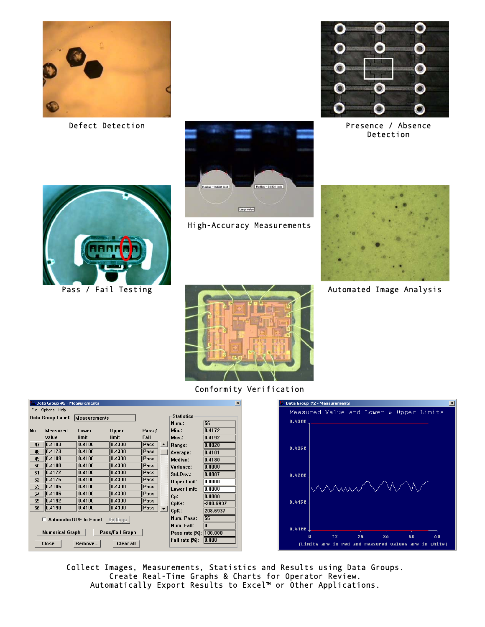

Defect Detection



High-Accuracy Measurements



Presence / Absence Detection



Automated Image Analysis



Pass / Fail Testing



## Conformity Verification

| Data Group #2 - Measurements<br>$\vert x \vert$ |                              |        |        |           |  |                     |             |  |
|-------------------------------------------------|------------------------------|--------|--------|-----------|--|---------------------|-------------|--|
| File                                            | Options Help                 |        |        |           |  |                     |             |  |
| Data Group Label:<br><b>Measurements</b>        |                              |        |        |           |  | <b>Statistics</b>   |             |  |
|                                                 |                              |        |        |           |  | Num.:               | 56          |  |
| No.                                             | Measured                     | Lower  | Upper  | Pass /    |  | Min.:               | 0.4172      |  |
|                                                 | value                        | limit  | limit  | Fail      |  | Max.:               | 0.4192      |  |
| 47                                              | $\sqrt{0.4183}$              | 0.4100 | 0.4300 | Pass      |  | Range:              | 0.0020      |  |
| 48                                              | 0.4173                       | 0.4100 | 0.4300 | Pass      |  | Average:            | 0.4181      |  |
| 49                                              | 0.4189                       | 0.4100 | 0.4300 | Pass      |  | Median:             | 0.4180      |  |
| 50                                              | 0.4180                       | 0.4100 | 0.4300 | Pass      |  | Variance:           | 0.0000      |  |
| 51                                              | 0.4172                       | 0.4100 | 0.4300 | Pass      |  | Std.Dev.:           | 0.0007      |  |
| 52                                              | 0.4175                       | 0.4100 | 0.4300 | Pass      |  | <b>Upper limit:</b> | 0.0000      |  |
| 53                                              | 0.4185                       | 0.4100 | 0.4300 | Pass      |  | Lower limit:        | 0.0000      |  |
| 54                                              | 0.4186                       | 0.4100 | 0.4300 | Pass      |  | $Cp$ :              | 0.0000      |  |
| 55                                              | 0.4192                       | 0.4100 | 0.4300 | Pass      |  | $CpK+$ :            | $-208.6937$ |  |
| 56                                              | 0.4190                       | 0.4100 | 0.4300 | $\ $ Pass |  | CpK-:               | 208.6937    |  |
|                                                 |                              |        |        |           |  | Num. Pass:          | 56          |  |
| Settings<br><b>Automatic DDE to Excel</b>       |                              |        |        |           |  | Num. Fail:          | In          |  |
| Numerical Graph<br>Pass/Fail Graph              |                              |        |        |           |  | Pass rate [%]:      | 100.000     |  |
|                                                 |                              |        |        |           |  | Fail rate [%]:      | 0.000       |  |
|                                                 | Close<br>Clear all<br>Remove |        |        |           |  |                     |             |  |
|                                                 |                              |        |        |           |  |                     |             |  |



Collect Images, Measurements, Statistics and Results using Data Groups. Create Real-Time Graphs & Charts for Operator Review. Automatically Export Results to Excel™ or Other Applications.